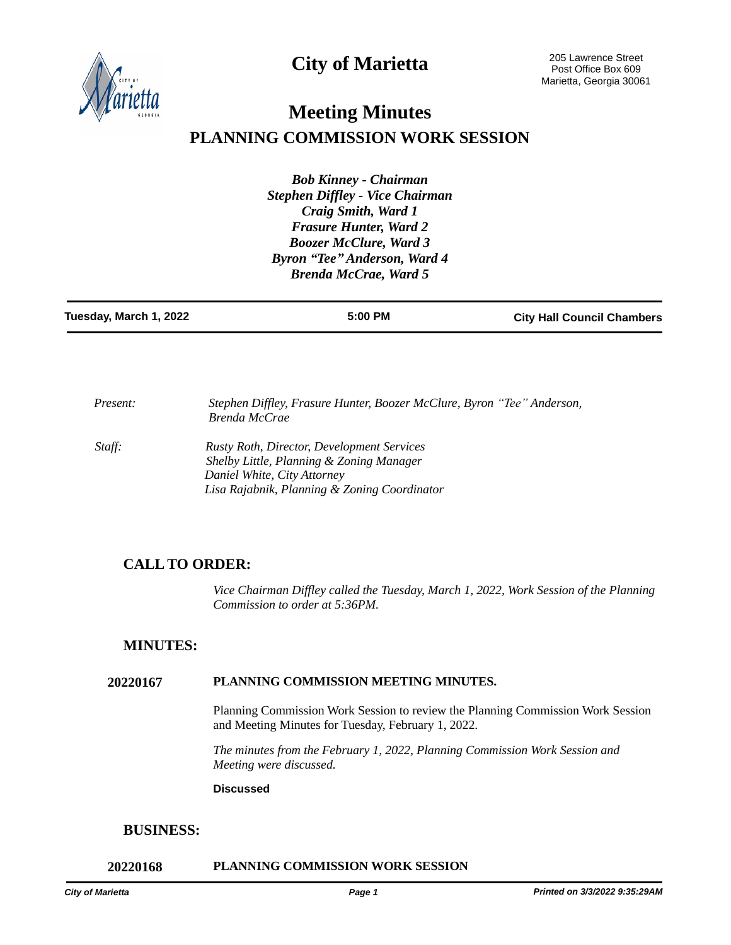**City of Marietta**



# **Meeting Minutes PLANNING COMMISSION WORK SESSION**

*Bob Kinney - Chairman Stephen Diffley - Vice Chairman Craig Smith, Ward 1 Frasure Hunter, Ward 2 Boozer McClure, Ward 3 Byron "Tee" Anderson, Ward 4 Brenda McCrae, Ward 5*

| Tuesday, March 1, 2022<br>5:00 PM<br><b>City Hall Council Chambers</b> |
|------------------------------------------------------------------------|
|------------------------------------------------------------------------|

*Present:* Stephen Diffley, Frasure Hunter, Boozer McClure, Byron "Tee" Anderson, *Brenda McCrae Staff: Rusty Roth, Director, Development Services Shelby Little, Planning & Zoning Manager Daniel White, City Attorney*

 *Lisa Rajabnik, Planning & Zoning Coordinator* 

# **CALL TO ORDER:**

*Vice Chairman Diffley called the Tuesday, March 1, 2022, Work Session of the Planning Commission to order at 5:36PM.*

## **MINUTES:**

#### **20220167 PLANNING COMMISSION MEETING MINUTES.**

Planning Commission Work Session to review the Planning Commission Work Session and Meeting Minutes for Tuesday, February 1, 2022.

*The minutes from the February 1, 2022, Planning Commission Work Session and Meeting were discussed.*

#### **Discussed**

## **BUSINESS:**

#### **20220168 PLANNING COMMISSION WORK SESSION**